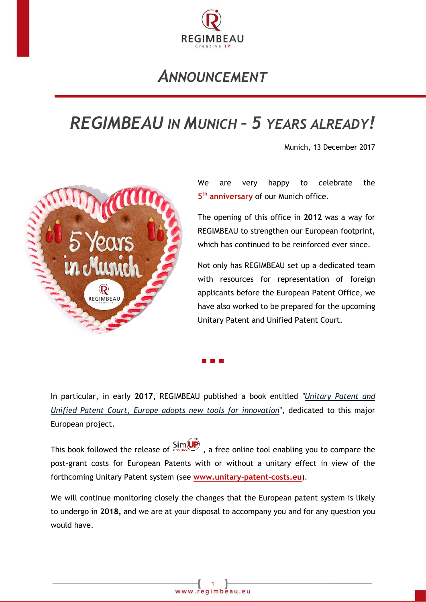

## *ANNOUNCEMENT*

## *REGIMBEAU IN MUNICH – 5 YEARS ALREADY!*

Munich, 13 December 2017



We are very happy to celebrate the **5 th anniversary** of our Munich office.

The opening of this office in **2012** was a way for REGIMBEAU to strengthen our European footprint, which has continued to be reinforced ever since.

Not only has REGIMBEAU set up a dedicated team with resources for representation of foreign applicants before the European Patent Office, we have also worked to be prepared for the upcoming Unitary Patent and Unified Patent Court.

In particular, in early **2017**, REGIMBEAU published a book entitled *["Unitary Patent and](https://www.regimbeau.eu/REGIMBEAU/Web/Pages/PRODUCT.aspx?language=EN)  [Unified Patent Court, Europe adopts new tools for innovation](https://www.regimbeau.eu/REGIMBEAU/Web/Pages/PRODUCT.aspx?language=EN)*", dedicated to this major European project.

This book followed the release of  $\frac{\text{Sim}(\text{UP})}{n}$ , a free online tool enabling you to compare the post-grant costs for European Patents with or without a unitary effect in view of the forthcoming Unitary Patent system (see **[www.unitary-patent-costs.eu](http://www.unitary-patent-costs.eu/)**).

We will continue monitoring closely the changes that the European patent system is likely to undergo in **2018,** and we are at your disposal to accompany you and for any question you would have.